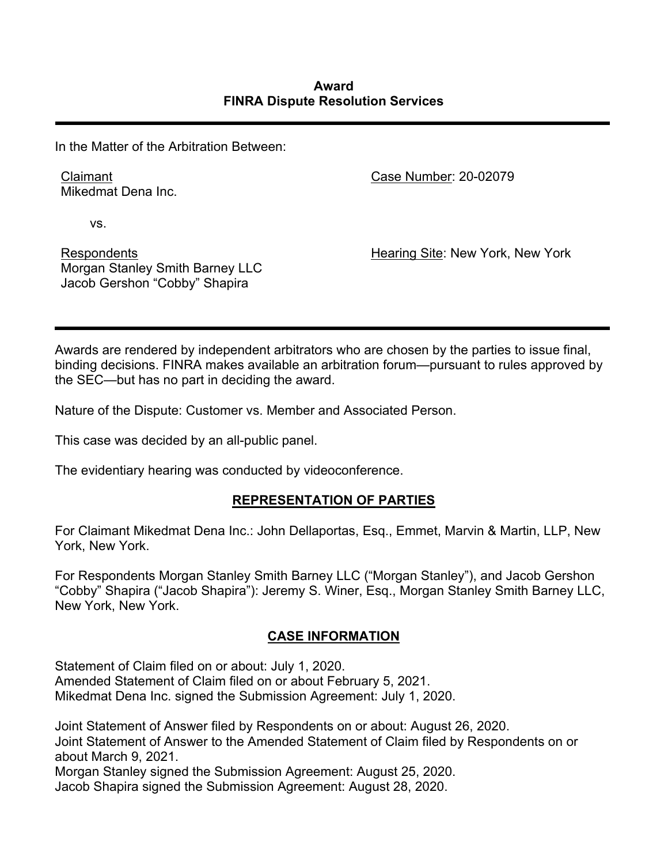In the Matter of the Arbitration Between:

Claimant Mikedmat Dena Inc. Case Number: 20-02079

vs.

Respondents Morgan Stanley Smith Barney LLC Jacob Gershon "Cobby" Shapira

Hearing Site: New York, New York

Awards are rendered by independent arbitrators who are chosen by the parties to issue final, binding decisions. FINRA makes available an arbitration forum—pursuant to rules approved by the SEC—but has no part in deciding the award.

Nature of the Dispute: Customer vs. Member and Associated Person.

This case was decided by an all-public panel.

The evidentiary hearing was conducted by videoconference.

# **REPRESENTATION OF PARTIES**

For Claimant Mikedmat Dena Inc.: John Dellaportas, Esq., Emmet, Marvin & Martin, LLP, New York, New York.

For Respondents Morgan Stanley Smith Barney LLC ("Morgan Stanley"), and Jacob Gershon "Cobby" Shapira ("Jacob Shapira"): Jeremy S. Winer, Esq., Morgan Stanley Smith Barney LLC, New York, New York.

# **CASE INFORMATION**

Statement of Claim filed on or about: July 1, 2020.

Amended Statement of Claim filed on or about February 5, 2021. Mikedmat Dena Inc. signed the Submission Agreement: July 1, 2020.

Joint Statement of Answer filed by Respondents on or about: August 26, 2020. Joint Statement of Answer to the Amended Statement of Claim filed by Respondents on or about March 9, 2021.

Morgan Stanley signed the Submission Agreement: August 25, 2020. Jacob Shapira signed the Submission Agreement: August 28, 2020.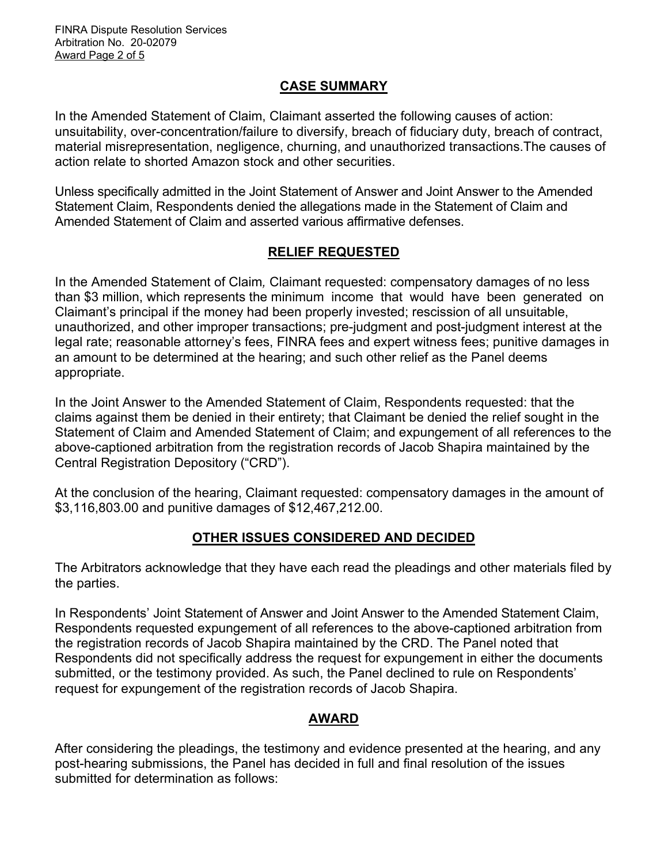FINRA Dispute Resolution Services Arbitration No. 20-02079 Award Page 2 of 5

## **CASE SUMMARY**

In the Amended Statement of Claim, Claimant asserted the following causes of action: unsuitability, over-concentration/failure to diversify, breach of fiduciary duty, breach of contract, material misrepresentation, negligence, churning, and unauthorized transactions.The causes of action relate to shorted Amazon stock and other securities.

Unless specifically admitted in the Joint Statement of Answer and Joint Answer to the Amended Statement Claim, Respondents denied the allegations made in the Statement of Claim and Amended Statement of Claim and asserted various affirmative defenses.

# **RELIEF REQUESTED**

In the Amended Statement of Claim*,* Claimant requested: compensatory damages of no less than \$3 million, which represents the minimum income that would have been generated on Claimant's principal if the money had been properly invested; rescission of all unsuitable, unauthorized, and other improper transactions; pre-judgment and post-judgment interest at the legal rate; reasonable attorney's fees, FINRA fees and expert witness fees; punitive damages in an amount to be determined at the hearing; and such other relief as the Panel deems appropriate.

In the Joint Answer to the Amended Statement of Claim, Respondents requested: that the claims against them be denied in their entirety; that Claimant be denied the relief sought in the Statement of Claim and Amended Statement of Claim; and expungement of all references to the above-captioned arbitration from the registration records of Jacob Shapira maintained by the Central Registration Depository ("CRD").

At the conclusion of the hearing, Claimant requested: compensatory damages in the amount of \$3,116,803.00 and punitive damages of \$12,467,212.00.

# **OTHER ISSUES CONSIDERED AND DECIDED**

The Arbitrators acknowledge that they have each read the pleadings and other materials filed by the parties.

In Respondents' Joint Statement of Answer and Joint Answer to the Amended Statement Claim, Respondents requested expungement of all references to the above-captioned arbitration from the registration records of Jacob Shapira maintained by the CRD. The Panel noted that Respondents did not specifically address the request for expungement in either the documents submitted, or the testimony provided. As such, the Panel declined to rule on Respondents' request for expungement of the registration records of Jacob Shapira.

## **AWARD**

After considering the pleadings, the testimony and evidence presented at the hearing, and any post-hearing submissions, the Panel has decided in full and final resolution of the issues submitted for determination as follows: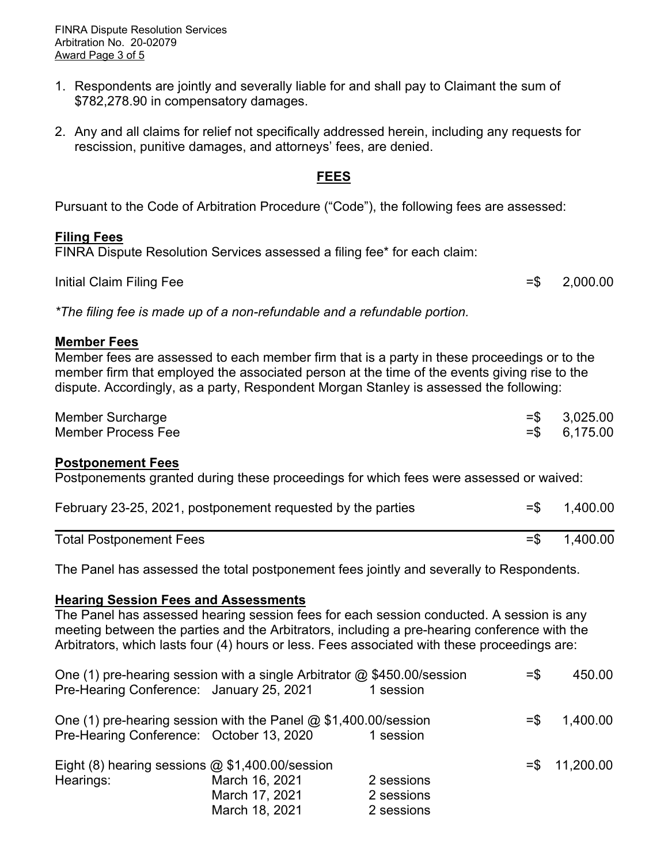FINRA Dispute Resolution Services Arbitration No. 20-02079 Award Page 3 of 5

- 1. Respondents are jointly and severally liable for and shall pay to Claimant the sum of \$782,278.90 in compensatory damages.
- 2. Any and all claims for relief not specifically addressed herein, including any requests for rescission, punitive damages, and attorneys' fees, are denied.

### **FEES**

Pursuant to the Code of Arbitration Procedure ("Code"), the following fees are assessed:

### **Filing Fees**

FINRA Dispute Resolution Services assessed a filing fee\* for each claim:

Initial Claim Filing Fee  $=$  \$ 2,000.00

*\*The filing fee is made up of a non-refundable and a refundable portion.*

#### **Member Fees**

Member fees are assessed to each member firm that is a party in these proceedings or to the member firm that employed the associated person at the time of the events giving rise to the dispute. Accordingly, as a party, Respondent Morgan Stanley is assessed the following:

| Member Surcharge   | $=$ \$ 3,025.00 |
|--------------------|-----------------|
| Member Process Fee | $=$ \$ 6,175.00 |

## **Postponement Fees**

Postponements granted during these proceedings for which fees were assessed or waived:

| February 23-25, 2021, postponement requested by the parties | $=$ \$ 1,400.00 |
|-------------------------------------------------------------|-----------------|
| <b>Total Postponement Fees</b>                              | $=$ \$ 1,400.00 |

The Panel has assessed the total postponement fees jointly and severally to Respondents.

#### **Hearing Session Fees and Assessments**

The Panel has assessed hearing session fees for each session conducted. A session is any meeting between the parties and the Arbitrators, including a pre-hearing conference with the Arbitrators, which lasts four (4) hours or less. Fees associated with these proceedings are:

| One (1) pre-hearing session with a single Arbitrator @ \$450.00/session<br>Pre-Hearing Conference: January 25, 2021 |                | 1 session  | $=$ \$ | 450.00          |
|---------------------------------------------------------------------------------------------------------------------|----------------|------------|--------|-----------------|
| One (1) pre-hearing session with the Panel $@$ \$1,400.00/session<br>Pre-Hearing Conference: October 13, 2020       |                | 1 session  | $=$ \$ | 1,400.00        |
| Eight (8) hearing sessions $@$ \$1,400.00/session                                                                   |                |            |        | $= $ 11,200.00$ |
| Hearings:                                                                                                           | March 16, 2021 | 2 sessions |        |                 |
|                                                                                                                     | March 17, 2021 | 2 sessions |        |                 |
|                                                                                                                     | March 18, 2021 | 2 sessions |        |                 |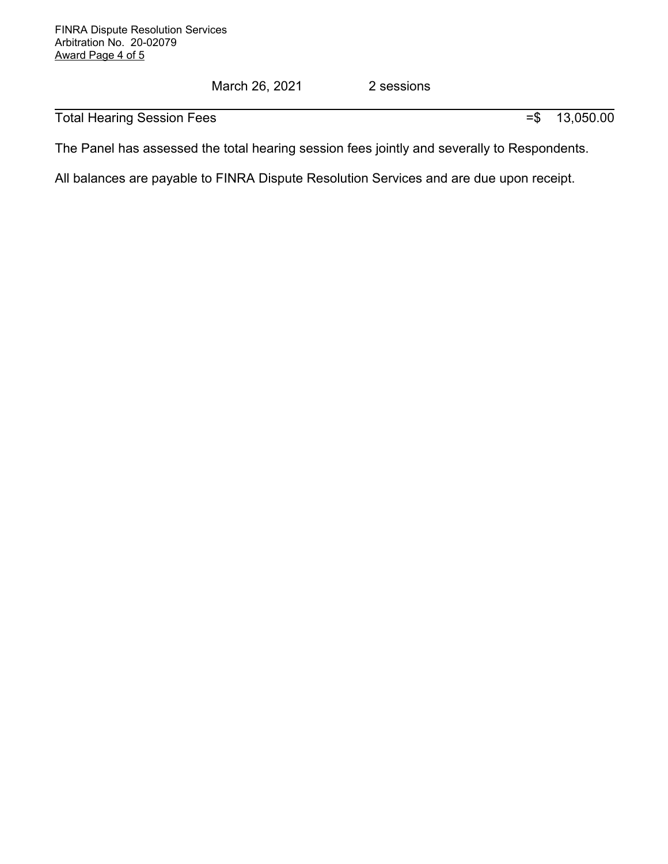March 26, 2021 2 sessions

Total Hearing Session Fees  $=$  \$ 13,050.00

The Panel has assessed the total hearing session fees jointly and severally to Respondents.

All balances are payable to FINRA Dispute Resolution Services and are due upon receipt.